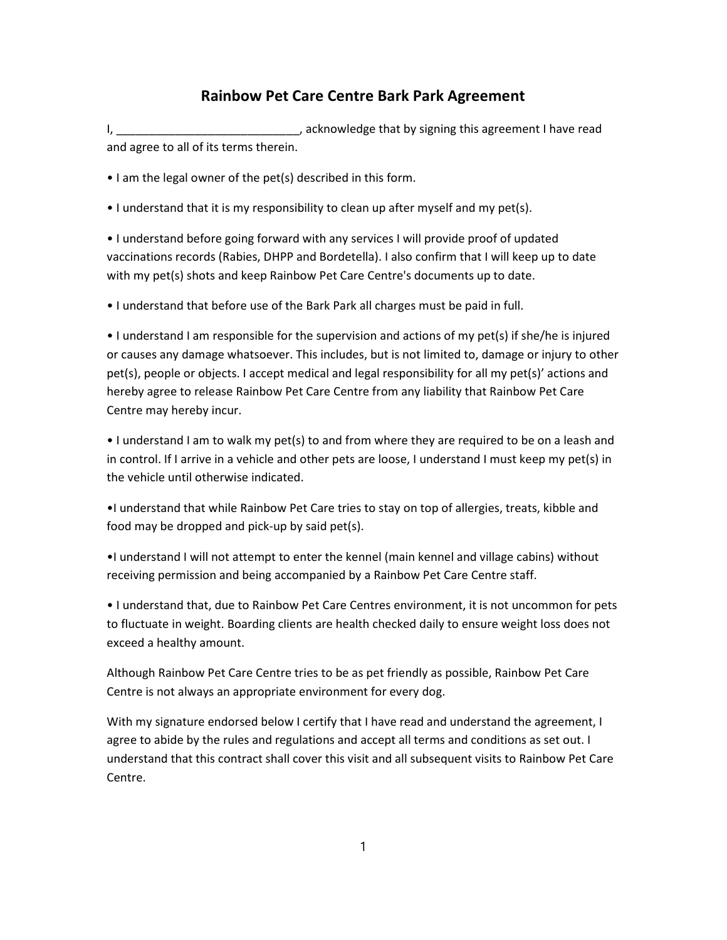## Rainbow Pet Care Centre Bark Park Agreement

I, the contract of the contract of the contract of the contract of the contract of the contract of the contract of the contract of the contract of the contract of the contract of the contract of the contract of the contrac and agree to all of its terms therein.

• I am the legal owner of the pet(s) described in this form.

• I understand that it is my responsibility to clean up after myself and my pet(s).

• I understand before going forward with any services I will provide proof of updated vaccinations records (Rabies, DHPP and Bordetella). I also confirm that I will keep up to date with my pet(s) shots and keep Rainbow Pet Care Centre's documents up to date.

• I understand that before use of the Bark Park all charges must be paid in full.

• I understand I am responsible for the supervision and actions of my pet(s) if she/he is injured or causes any damage whatsoever. This includes, but is not limited to, damage or injury to other pet(s), people or objects. I accept medical and legal responsibility for all my pet(s)' actions and hereby agree to release Rainbow Pet Care Centre from any liability that Rainbow Pet Care Centre may hereby incur.

• I understand I am to walk my pet(s) to and from where they are required to be on a leash and in control. If I arrive in a vehicle and other pets are loose, I understand I must keep my pet(s) in the vehicle until otherwise indicated.

•I understand that while Rainbow Pet Care tries to stay on top of allergies, treats, kibble and food may be dropped and pick-up by said pet(s).

•I understand I will not attempt to enter the kennel (main kennel and village cabins) without receiving permission and being accompanied by a Rainbow Pet Care Centre staff.

• I understand that, due to Rainbow Pet Care Centres environment, it is not uncommon for pets to fluctuate in weight. Boarding clients are health checked daily to ensure weight loss does not exceed a healthy amount.

Although Rainbow Pet Care Centre tries to be as pet friendly as possible, Rainbow Pet Care Centre is not always an appropriate environment for every dog.

With my signature endorsed below I certify that I have read and understand the agreement, I agree to abide by the rules and regulations and accept all terms and conditions as set out. I understand that this contract shall cover this visit and all subsequent visits to Rainbow Pet Care Centre.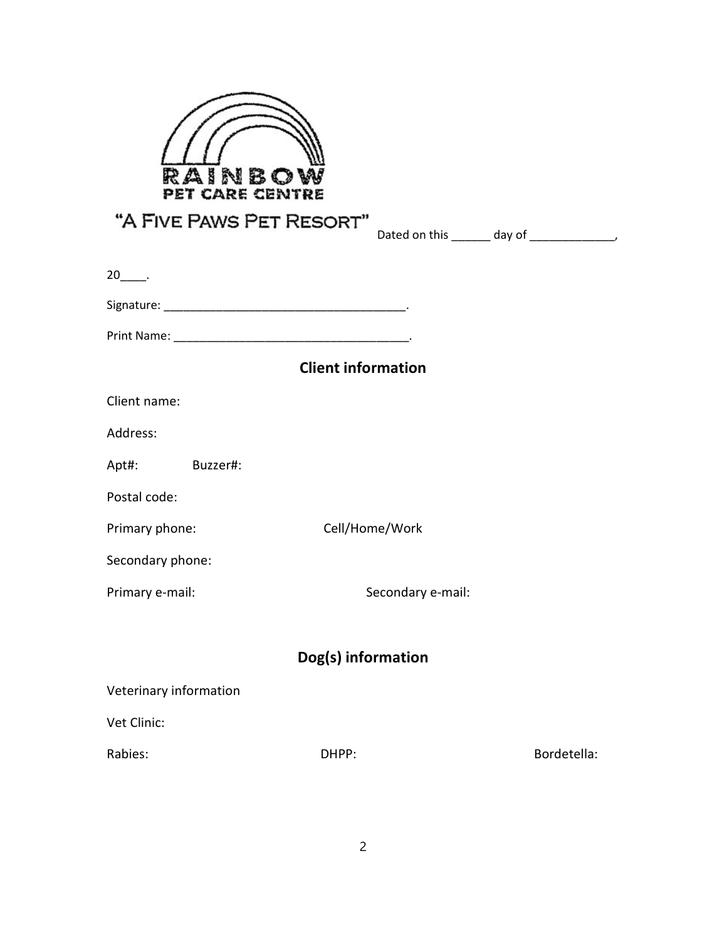

| "A FIVE PAWS PET RESORT" |                           | Dated on this _______ day of _______________, |
|--------------------------|---------------------------|-----------------------------------------------|
|                          |                           |                                               |
| $20$ ______.             |                           |                                               |
|                          |                           |                                               |
|                          |                           |                                               |
|                          | <b>Client information</b> |                                               |
| Client name:             |                           |                                               |
| Address:                 |                           |                                               |
| Apt#:<br>Buzzer#:        |                           |                                               |
| Postal code:             |                           |                                               |
| Primary phone:           | Cell/Home/Work            |                                               |
| Secondary phone:         |                           |                                               |
| Primary e-mail:          | Secondary e-mail:         |                                               |
|                          |                           |                                               |
|                          | Dog(s) information        |                                               |
| Veterinary information   |                           |                                               |
| Vet Clinic:              |                           |                                               |
| Rabies:<br>DHPP:         |                           | Bordetella:                                   |